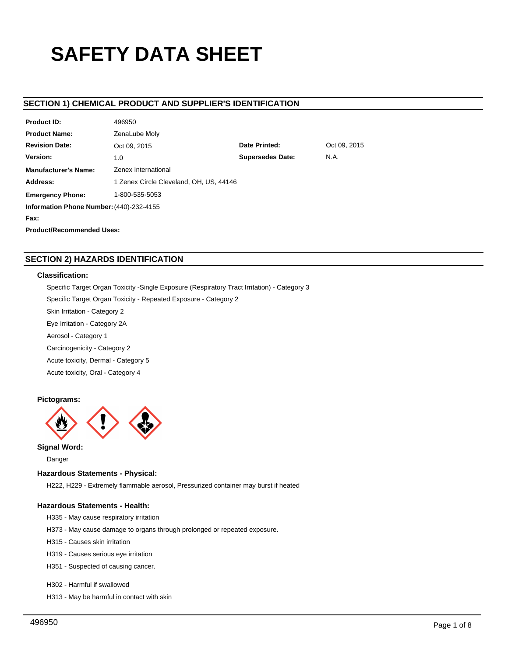# **SAFETY DATA SHEET**

# **SECTION 1) CHEMICAL PRODUCT AND SUPPLIER'S IDENTIFICATION**

| <b>Product ID:</b>                       | 496950                                  |                         |              |  |  |
|------------------------------------------|-----------------------------------------|-------------------------|--------------|--|--|
| <b>Product Name:</b>                     | ZenaLube Moly                           |                         |              |  |  |
| <b>Revision Date:</b>                    | Oct 09, 2015                            | Date Printed:           | Oct 09, 2015 |  |  |
| Version:                                 | 1.0                                     | <b>Supersedes Date:</b> | N.A.         |  |  |
| <b>Manufacturer's Name:</b>              | Zenex International                     |                         |              |  |  |
| Address:                                 | 1 Zenex Circle Cleveland, OH, US, 44146 |                         |              |  |  |
| <b>Emergency Phone:</b>                  | 1-800-535-5053                          |                         |              |  |  |
| Information Phone Number: (440)-232-4155 |                                         |                         |              |  |  |
| Fax:                                     |                                         |                         |              |  |  |
| <b>Product/Recommended Uses:</b>         |                                         |                         |              |  |  |

# **SECTION 2) HAZARDS IDENTIFICATION**

# **Classification:**

Specific Target Organ Toxicity -Single Exposure (Respiratory Tract Irritation) - Category 3

Specific Target Organ Toxicity - Repeated Exposure - Category 2

Skin Irritation - Category 2

Eye Irritation - Category 2A

Aerosol - Category 1

Carcinogenicity - Category 2

Acute toxicity, Dermal - Category 5

Acute toxicity, Oral - Category 4

## **Pictograms:**



**Signal Word:**

Danger

# **Hazardous Statements - Physical:**

H222, H229 - Extremely flammable aerosol, Pressurized container may burst if heated

# **Hazardous Statements - Health:**

- H335 May cause respiratory irritation
- H373 May cause damage to organs through prolonged or repeated exposure.
- H315 Causes skin irritation
- H319 Causes serious eye irritation
- H351 Suspected of causing cancer.

# H302 - Harmful if swallowed

H313 - May be harmful in contact with skin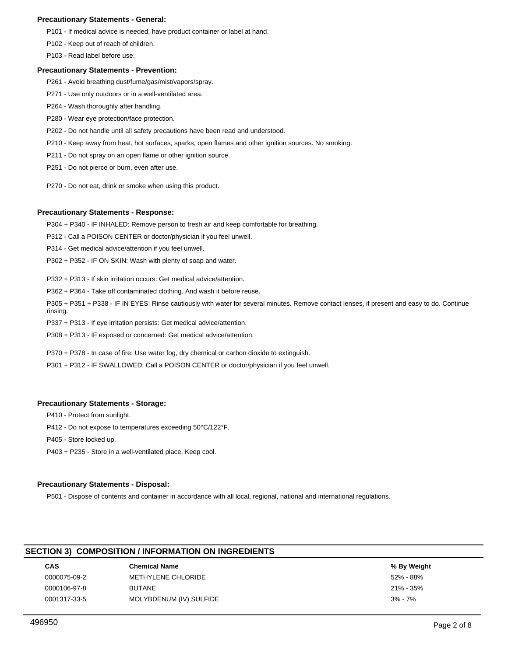## **Precautionary Statements - General:**

P101 - If medical advice is needed, have product container or label at hand.

P102 - Keep out of reach of children.

P103 - Read label before use.

## **Precautionary Statements - Prevention:**

- P261 Avoid breathing dust/fume/gas/mist/vapors/spray.
- P271 Use only outdoors or in a well-ventilated area.
- P264 Wash thoroughly after handling.
- P280 Wear eye protection/face protection.
- P202 Do not handle until all safety precautions have been read and understood.
- P210 Keep away from heat, hot surfaces, sparks, open flames and other ignition sources. No smoking.
- P211 Do not spray on an open flame or other ignition source.
- P251 Do not pierce or burn, even after use.
- P270 Do not eat, drink or smoke when using this product.

## **Precautionary Statements - Response:**

P304 + P340 - IF INHALED: Remove person to fresh air and keep comfortable for breathing.

P312 - Call a POISON CENTER or doctor/physician if you feel unwell.

P314 - Get medical advice/attention if you feel unwell.

P302 + P352 - IF ON SKIN: Wash with plenty of soap and water.

P332 + P313 - If skin irritation occurs: Get medical advice/attention.

P362 + P364 - Take off contaminated clothing. And wash it before reuse.

P305 + P351 + P338 - IF IN EYES: Rinse cautiously with water for several minutes. Remove contact lenses, if present and easy to do. Continue rinsing.

P337 + P313 - If eye irritation persists: Get medical advice/attention.

P308 + P313 - IF exposed or concerned: Get medical advice/attention.

P370 + P378 - In case of fire: Use water fog, dry chemical or carbon dioxide to extinguish.

P301 + P312 - IF SWALLOWED: Call a POISON CENTER or doctor/physician if you feel unwell.

## **Precautionary Statements - Storage:**

- P410 Protect from sunlight.
- P412 Do not expose to temperatures exceeding 50°C/122°F.
- P405 Store locked up.

P403 + P235 - Store in a well-ventilated place. Keep cool.

## **Precautionary Statements - Disposal:**

P501 - Dispose of contents and container in accordance with all local, regional, national and international regulations.

# **SECTION 3) COMPOSITION / INFORMATION ON INGREDIENTS**

| CAS          | <b>Chemical Name</b>    | % By Weight |
|--------------|-------------------------|-------------|
| 0000075-09-2 | METHYLENE CHLORIDE      | 52% - 88%   |
| 0000106-97-8 | <b>BUTANE</b>           | 21% - 35%   |
| 0001317-33-5 | MOLYBDENUM (IV) SULFIDE | $3\% - 7\%$ |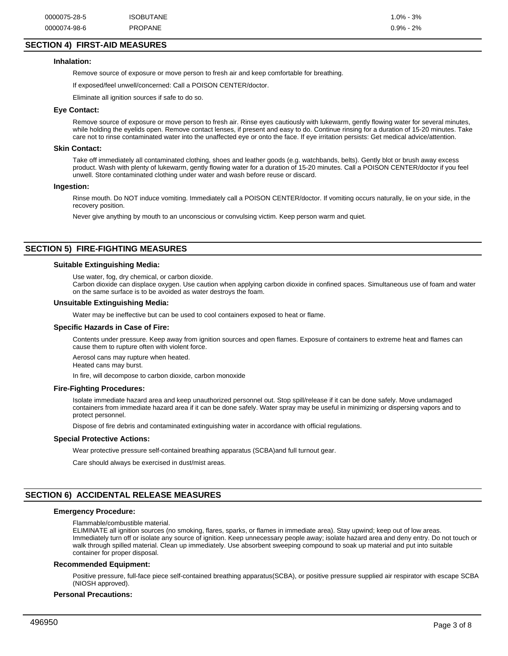# **SECTION 4) FIRST-AID MEASURES**

#### **Inhalation:**

Remove source of exposure or move person to fresh air and keep comfortable for breathing.

If exposed/feel unwell/concerned: Call a POISON CENTER/doctor.

Eliminate all ignition sources if safe to do so.

## **Eye Contact:**

Remove source of exposure or move person to fresh air. Rinse eyes cautiously with lukewarm, gently flowing water for several minutes, while holding the eyelids open. Remove contact lenses, if present and easy to do. Continue rinsing for a duration of 15-20 minutes. Take care not to rinse contaminated water into the unaffected eye or onto the face. If eye irritation persists: Get medical advice/attention.

#### **Skin Contact:**

Take off immediately all contaminated clothing, shoes and leather goods (e.g. watchbands, belts). Gently blot or brush away excess product. Wash with plenty of lukewarm, gently flowing water for a duration of 15-20 minutes. Call a POISON CENTER/doctor if you feel unwell. Store contaminated clothing under water and wash before reuse or discard.

## **Ingestion:**

Rinse mouth. Do NOT induce vomiting. Immediately call a POISON CENTER/doctor. If vomiting occurs naturally, lie on your side, in the recovery position.

Never give anything by mouth to an unconscious or convulsing victim. Keep person warm and quiet.

# **SECTION 5) FIRE-FIGHTING MEASURES**

## **Suitable Extinguishing Media:**

Use water, fog, dry chemical, or carbon dioxide.

Carbon dioxide can displace oxygen. Use caution when applying carbon dioxide in confined spaces. Simultaneous use of foam and water on the same surface is to be avoided as water destroys the foam.

## **Unsuitable Extinguishing Media:**

Water may be ineffective but can be used to cool containers exposed to heat or flame.

#### **Specific Hazards in Case of Fire:**

Contents under pressure. Keep away from ignition sources and open flames. Exposure of containers to extreme heat and flames can cause them to rupture often with violent force.

Aerosol cans may rupture when heated.

Heated cans may burst.

In fire, will decompose to carbon dioxide, carbon monoxide

#### **Fire-Fighting Procedures:**

Isolate immediate hazard area and keep unauthorized personnel out. Stop spill/release if it can be done safely. Move undamaged containers from immediate hazard area if it can be done safely. Water spray may be useful in minimizing or dispersing vapors and to protect personnel.

Dispose of fire debris and contaminated extinguishing water in accordance with official regulations.

#### **Special Protective Actions:**

Wear protective pressure self-contained breathing apparatus (SCBA)and full turnout gear.

Care should always be exercised in dust/mist areas.

# **SECTION 6) ACCIDENTAL RELEASE MEASURES**

#### **Emergency Procedure:**

Flammable/combustible material.

ELIMINATE all ignition sources (no smoking, flares, sparks, or flames in immediate area). Stay upwind; keep out of low areas. Immediately turn off or isolate any source of ignition. Keep unnecessary people away; isolate hazard area and deny entry. Do not touch or walk through spilled material. Clean up immediately. Use absorbent sweeping compound to soak up material and put into suitable container for proper disposal.

#### **Recommended Equipment:**

Positive pressure, full-face piece self-contained breathing apparatus(SCBA), or positive pressure supplied air respirator with escape SCBA (NIOSH approved).

#### **Personal Precautions:**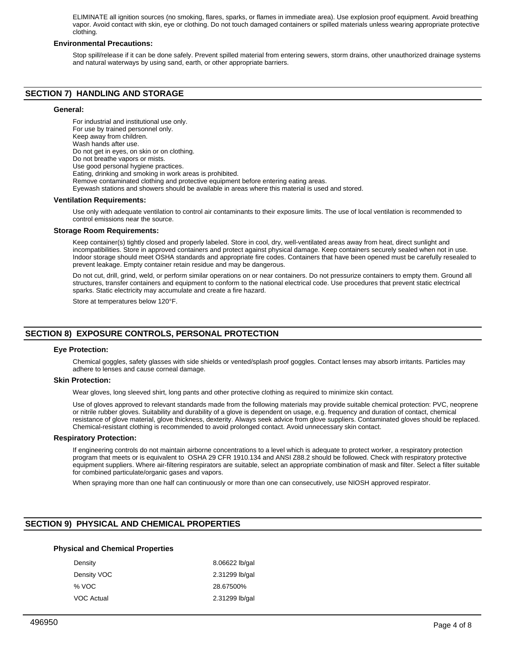ELIMINATE all ignition sources (no smoking, flares, sparks, or flames in immediate area). Use explosion proof equipment. Avoid breathing vapor. Avoid contact with skin, eye or clothing. Do not touch damaged containers or spilled materials unless wearing appropriate protective clothing.

## **Environmental Precautions:**

Stop spill/release if it can be done safely. Prevent spilled material from entering sewers, storm drains, other unauthorized drainage systems and natural waterways by using sand, earth, or other appropriate barriers.

# **SECTION 7) HANDLING AND STORAGE**

## **General:**

For industrial and institutional use only. For use by trained personnel only. Keep away from children. Wash hands after use. Do not get in eyes, on skin or on clothing. Do not breathe vapors or mists. Use good personal hygiene practices. Eating, drinking and smoking in work areas is prohibited. Remove contaminated clothing and protective equipment before entering eating areas. Eyewash stations and showers should be available in areas where this material is used and stored. **Ventilation Requirements:**

Use only with adequate ventilation to control air contaminants to their exposure limits. The use of local ventilation is recommended to control emissions near the source.

## **Storage Room Requirements:**

Keep container(s) tightly closed and properly labeled. Store in cool, dry, well-ventilated areas away from heat, direct sunlight and incompatibilities. Store in approved containers and protect against physical damage. Keep containers securely sealed when not in use. Indoor storage should meet OSHA standards and appropriate fire codes. Containers that have been opened must be carefully resealed to prevent leakage. Empty container retain residue and may be dangerous.

Do not cut, drill, grind, weld, or perform similar operations on or near containers. Do not pressurize containers to empty them. Ground all structures, transfer containers and equipment to conform to the national electrical code. Use procedures that prevent static electrical sparks. Static electricity may accumulate and create a fire hazard.

Store at temperatures below 120°F.

# **SECTION 8) EXPOSURE CONTROLS, PERSONAL PROTECTION**

#### **Eye Protection:**

Chemical goggles, safety glasses with side shields or vented/splash proof goggles. Contact lenses may absorb irritants. Particles may adhere to lenses and cause corneal damage.

#### **Skin Protection:**

Wear gloves, long sleeved shirt, long pants and other protective clothing as required to minimize skin contact.

Use of gloves approved to relevant standards made from the following materials may provide suitable chemical protection: PVC, neoprene or nitrile rubber gloves. Suitability and durability of a glove is dependent on usage, e.g. frequency and duration of contact, chemical resistance of glove material, glove thickness, dexterity. Always seek advice from glove suppliers. Contaminated gloves should be replaced. Chemical-resistant clothing is recommended to avoid prolonged contact. Avoid unnecessary skin contact.

#### **Respiratory Protection:**

If engineering controls do not maintain airborne concentrations to a level which is adequate to protect worker, a respiratory protection program that meets or is equivalent to OSHA 29 CFR 1910.134 and ANSI Z88.2 should be followed. Check with respiratory protective equipment suppliers. Where air-filtering respirators are suitable, select an appropriate combination of mask and filter. Select a filter suitable for combined particulate/organic gases and vapors.

When spraying more than one half can continuously or more than one can consecutively, use NIOSH approved respirator.

# **SECTION 9) PHYSICAL AND CHEMICAL PROPERTIES**

## **Physical and Chemical Properties**

| 8.06622 lb/gal |
|----------------|
| 2.31299 lb/gal |
| 28.67500%      |
| 2.31299 lb/gal |
|                |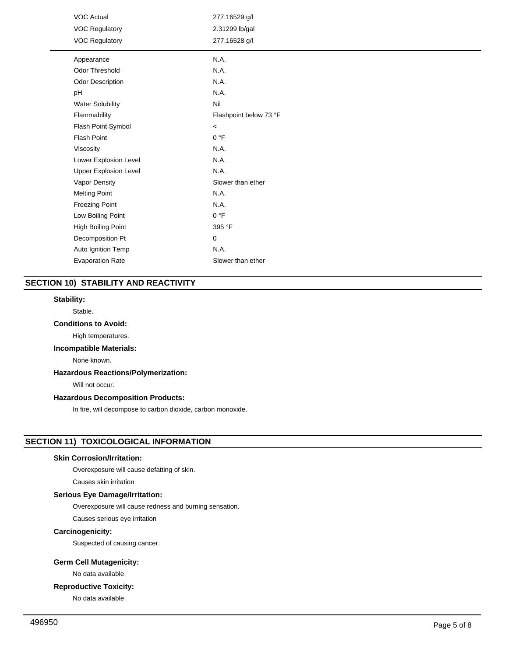| <b>VOC Actual</b>            | 277.16529 g/l          |
|------------------------------|------------------------|
| <b>VOC Regulatory</b>        | 2.31299 lb/gal         |
| <b>VOC Regulatory</b>        | 277.16528 g/l          |
| Appearance                   | N.A.                   |
| <b>Odor Threshold</b>        | N.A.                   |
| Odor Description             | N.A.                   |
| pH                           | N.A.                   |
| <b>Water Solubility</b>      | Nil                    |
| Flammability                 | Flashpoint below 73 °F |
| Flash Point Symbol           | $\,<$                  |
| <b>Flash Point</b>           | 0 °F                   |
| Viscosity                    | N.A.                   |
| Lower Explosion Level        | N.A.                   |
| <b>Upper Explosion Level</b> | N.A.                   |
| Vapor Density                | Slower than ether      |
| <b>Melting Point</b>         | N.A.                   |
| <b>Freezing Point</b>        | N.A.                   |
| Low Boiling Point            | 0 °F                   |
| High Boiling Point           | 395 °F                 |
| Decomposition Pt             | 0                      |
| Auto Ignition Temp           | N.A.                   |
| <b>Evaporation Rate</b>      | Slower than ether      |

# **SECTION 10) STABILITY AND REACTIVITY**

# **Stability:**

## Stable.

# **Conditions to Avoid:**

High temperatures.

# **Incompatible Materials:**

None known.

# **Hazardous Reactions/Polymerization:**

Will not occur.

# **Hazardous Decomposition Products:**

In fire, will decompose to carbon dioxide, carbon monoxide.

# **SECTION 11) TOXICOLOGICAL INFORMATION**

# **Skin Corrosion/Irritation:**

Overexposure will cause defatting of skin.

Causes skin irritation

# **Serious Eye Damage/Irritation:**

Overexposure will cause redness and burning sensation.

Causes serious eye irritation

# **Carcinogenicity:**

Suspected of causing cancer.

# **Germ Cell Mutagenicity:**

No data available

# **Reproductive Toxicity:**

No data available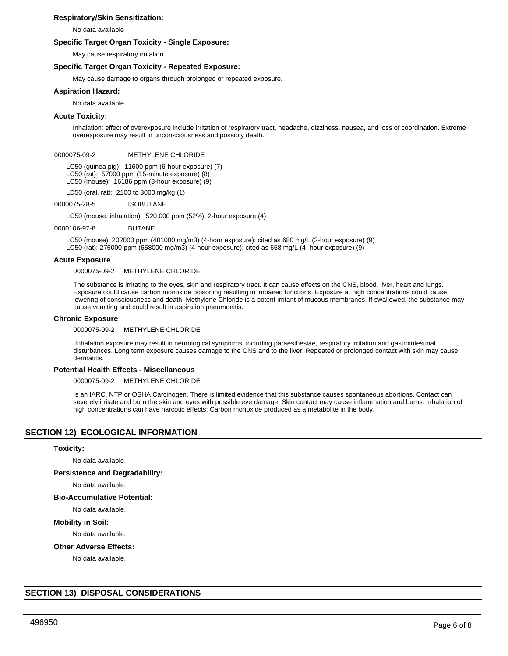## **Respiratory/Skin Sensitization:**

No data available

## **Specific Target Organ Toxicity - Single Exposure:**

May cause respiratory irritation

## **Specific Target Organ Toxicity - Repeated Exposure:**

May cause damage to organs through prolonged or repeated exposure.

## **Aspiration Hazard:**

No data available

## **Acute Toxicity:**

Inhalation: effect of overexposure include irritation of respiratory tract, headache, dizziness, nausea, and loss of coordination. Extreme overexposure may result in unconsciousness and possibly death.

## 0000075-09-2 METHYLENE CHLORIDE

LC50 (guinea pig): 11600 ppm (6-hour exposure) (7) LC50 (rat): 57000 ppm (15-minute exposure) (8) LC50 (mouse): 16186 ppm (8-hour exposure) (9)

LD50 (oral, rat): 2100 to 3000 mg/kg (1)

0000075-28-5 ISOBUTANE

LC50 (mouse, inhalation): 520,000 ppm (52%); 2-hour exposure.(4)

0000106-97-8 BUTANE

LC50 (mouse): 202000 ppm (481000 mg/m3) (4-hour exposure); cited as 680 mg/L (2-hour exposure) (9) LC50 (rat): 276000 ppm (658000 mg/m3) (4-hour exposure); cited as 658 mg/L (4- hour exposure) (9)

## **Acute Exposure**

0000075-09-2 METHYLENE CHLORIDE

The substance is irritating to the eyes, skin and respiratory tract. It can cause effects on the CNS, blood, liver, heart and lungs. Exposure could cause carbon monoxide poisoning resulting in impaired functions. Exposure at high concentrations could cause lowering of consciousness and death. Methylene Chloride is a potent irritant of mucous membranes. If swallowed, the substance may cause vomiting and could result in aspiration pneumonitis.

## **Chronic Exposure**

0000075-09-2 METHYLENE CHLORIDE

 Inhalation exposure may result in neurological symptoms, including paraesthesiae, respiratory irritation and gastrointestinal disturbances. Long term exposure causes damage to the CNS and to the liver. Repeated or prolonged contact with skin may cause dermatitis.

## **Potential Health Effects - Miscellaneous**

0000075-09-2 METHYLENE CHLORIDE

Is an IARC, NTP or OSHA Carcinogen. There is limited evidence that this substance causes spontaneous abortions. Contact can severely irritate and burn the skin and eyes with possible eye damage. Skin contact may cause inflammation and burns. Inhalation of high concentrations can have narcotic effects; Carbon monoxide produced as a metabolite in the body.

# **SECTION 12) ECOLOGICAL INFORMATION**

#### **Toxicity:**

No data available.

## **Persistence and Degradability:**

No data available.

## **Bio-Accumulative Potential:**

No data available.

#### **Mobility in Soil:**

No data available.

## **Other Adverse Effects:**

No data available.

# **SECTION 13) DISPOSAL CONSIDERATIONS**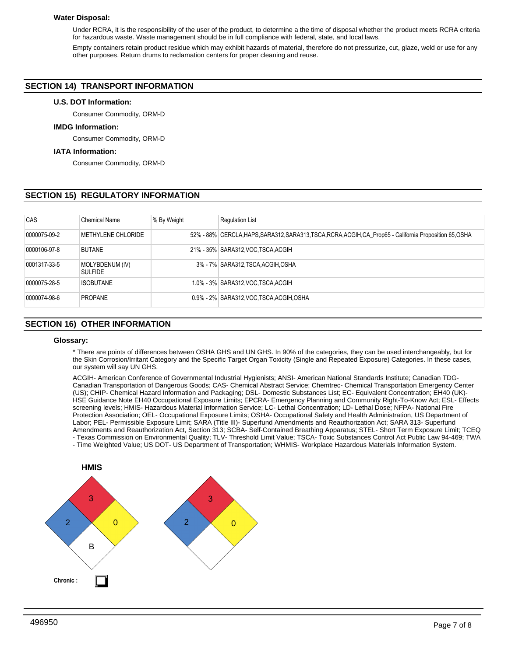## **Water Disposal:**

Under RCRA, it is the responsibility of the user of the product, to determine a the time of disposal whether the product meets RCRA criteria for hazardous waste. Waste management should be in full compliance with federal, state, and local laws.

Empty containers retain product residue which may exhibit hazards of material, therefore do not pressurize, cut, glaze, weld or use for any other purposes. Return drums to reclamation centers for proper cleaning and reuse.

# **SECTION 14) TRANSPORT INFORMATION**

## **U.S. DOT Information:**

Consumer Commodity, ORM-D

# **IMDG Information:**

Consumer Commodity, ORM-D

## **IATA Information:**

Consumer Commodity, ORM-D

# **SECTION 15) REGULATORY INFORMATION**

| CAS          | <b>Chemical Name</b>              | % By Weight | <b>Regulation List</b>                                                                                   |
|--------------|-----------------------------------|-------------|----------------------------------------------------------------------------------------------------------|
| 0000075-09-2 | METHYLENE CHLORIDE                |             | 52% - 88% CERCLA, HAPS, SARA312, SARA313, TSCA, RCRA, ACGIH, CA_Prop65 - California Proposition 65, OSHA |
| 0000106-97-8 | <b>BUTANE</b>                     |             | 21% - 35% SARA312, VOC TSCA, ACGIH                                                                       |
| 0001317-33-5 | MOLYBDENUM (IV)<br><b>SULFIDE</b> |             | 3% - 7% SARA312, TSCA, ACGIH, OSHA                                                                       |
| 0000075-28-5 | <b>ISOBUTANE</b>                  |             | 1.0% - 3% SARA312, VOC TSCA, ACGIH                                                                       |
| 0000074-98-6 | <b>PROPANE</b>                    |             | 0.9% - 2% SARA312, VOC TSCA, ACGIH, OSHA                                                                 |

# **SECTION 16) OTHER INFORMATION**

## **Glossary:**

\* There are points of differences between OSHA GHS and UN GHS. In 90% of the categories, they can be used interchangeably, but for the Skin Corrosion/Irritant Category and the Specific Target Organ Toxicity (Single and Repeated Exposure) Categories. In these cases, our system will say UN GHS.

ACGIH- American Conference of Governmental Industrial Hygienists; ANSI- American National Standards Institute; Canadian TDG-Canadian Transportation of Dangerous Goods; CAS- Chemical Abstract Service; Chemtrec- Chemical Transportation Emergency Center (US); CHIP- Chemical Hazard Information and Packaging; DSL- Domestic Substances List; EC- Equivalent Concentration; EH40 (UK)- HSE Guidance Note EH40 Occupational Exposure Limits; EPCRA- Emergency Planning and Community Right-To-Know Act; ESL- Effects screening levels; HMIS- Hazardous Material Information Service; LC- Lethal Concentration; LD- Lethal Dose; NFPA- National Fire Protection Association; OEL- Occupational Exposure Limits; OSHA- Occupational Safety and Health Administration, US Department of Labor; PEL- Permissible Exposure Limit; SARA (Title III)- Superfund Amendments and Reauthorization Act; SARA 313- Superfund Amendments and Reauthorization Act, Section 313; SCBA- Self-Contained Breathing Apparatus; STEL- Short Term Exposure Limit; TCEQ - Texas Commission on Environmental Quality; TLV- Threshold Limit Value; TSCA- Toxic Substances Control Act Public Law 94-469; TWA - Time Weighted Value; US DOT- US Department of Transportation; WHMIS- Workplace Hazardous Materials Information System.